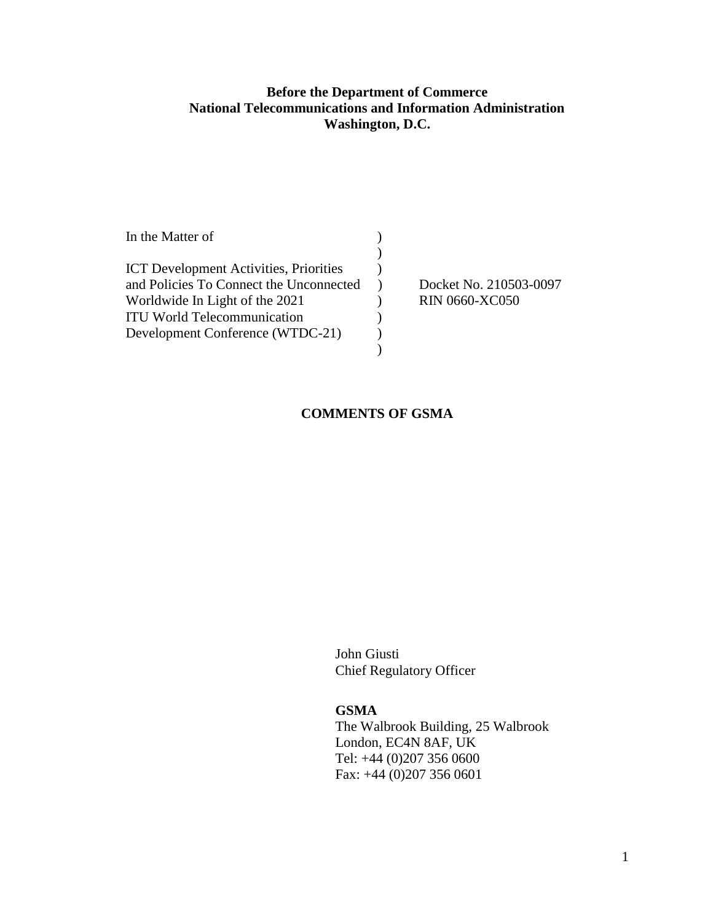## **Before the Department of Commerce National Telecommunications and Information Administration Washington, D.C.**

| In the Matter of                              |                        |
|-----------------------------------------------|------------------------|
|                                               |                        |
| <b>ICT</b> Development Activities, Priorities |                        |
| and Policies To Connect the Unconnected       | Docket No. 210503-0097 |
| Worldwide In Light of the 2021                | <b>RIN 0660-XC050</b>  |
| <b>ITU World Telecommunication</b>            |                        |
| Development Conference (WTDC-21)              |                        |
|                                               |                        |

## **COMMENTS OF GSMA**

John Giusti Chief Regulatory Officer

## **GSMA**

The Walbrook Building, 25 Walbrook London, EC4N 8AF, UK Tel: +44 (0)207 356 0600 Fax: +44 (0)207 356 0601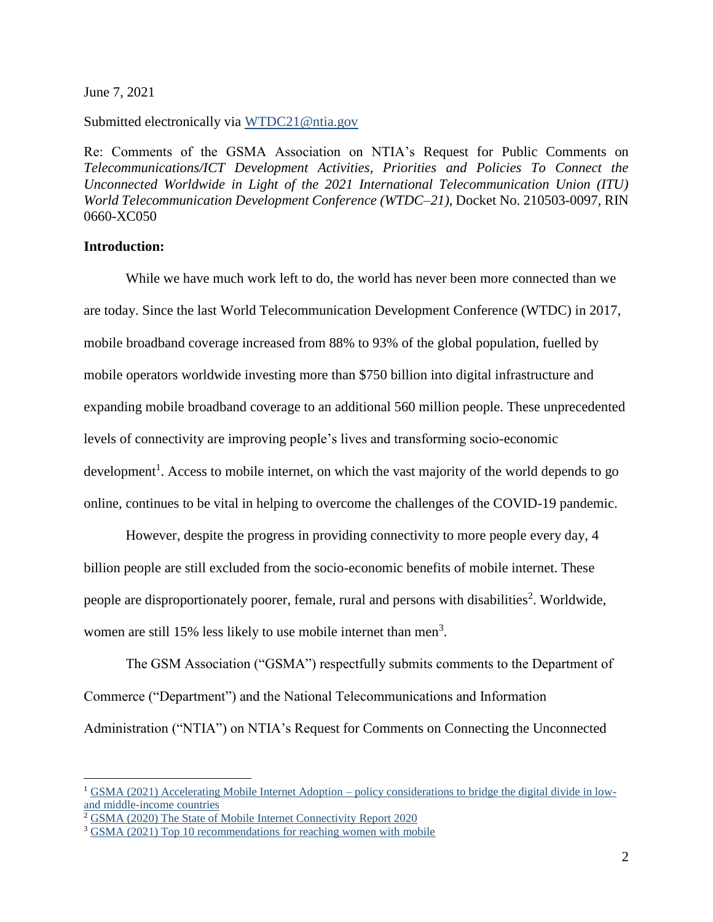June 7, 2021

Submitted electronically via [WTDC21@ntia.gov](mailto:WTDC21@ntia.gov)

Re: Comments of the GSMA Association on NTIA's Request for Public Comments on *Telecommunications/ICT Development Activities, Priorities and Policies To Connect the Unconnected Worldwide in Light of the 2021 International Telecommunication Union (ITU) World Telecommunication Development Conference (WTDC–21)*, Docket No. 210503-0097, RIN 0660-XC050

### **Introduction:**

 $\overline{a}$ 

While we have much work left to do, the world has never been more connected than we are today. Since the last World Telecommunication Development Conference (WTDC) in 2017, mobile broadband coverage increased from 88% to 93% of the global population, fuelled by mobile operators worldwide investing more than \$750 billion into digital infrastructure and expanding mobile broadband coverage to an additional 560 million people. These unprecedented levels of connectivity are improving people's lives and transforming socio-economic development<sup>1</sup>. Access to mobile internet, on which the vast majority of the world depends to go online, continues to be vital in helping to overcome the challenges of the COVID-19 pandemic.

However, despite the progress in providing connectivity to more people every day, 4 billion people are still excluded from the socio-economic benefits of mobile internet. These people are disproportionately poorer, female, rural and persons with disabilities<sup>2</sup>. Worldwide, women are still 15% less likely to use mobile internet than men<sup>3</sup>.

The GSM Association ("GSMA") respectfully submits comments to the Department of Commerce ("Department") and the National Telecommunications and Information Administration ("NTIA") on NTIA's Request for Comments on Connecting the Unconnected

<sup>&</sup>lt;sup>1</sup> GSMA (2021) Accelerating Mobile Internet Adoption – [policy considerations to bridge the digital divide in low](https://www.gsma.com/mobilefordevelopment/resources/accelerating-mobile-internet-adoption-policy-considerations/)[and middle-income countries](https://www.gsma.com/mobilefordevelopment/resources/accelerating-mobile-internet-adoption-policy-considerations/)

<sup>&</sup>lt;sup>2</sup> [GSMA \(2020\) The State of Mobile Internet Connectivity Report 2020](https://www.gsma.com/r/somic/)

<sup>&</sup>lt;sup>3</sup> [GSMA \(2021\) Top 10 recommendations for reaching women with mobile](https://www.gsma.com/mobilefordevelopment/blog/top-10-recommendations-for-reaching-women-with-mobile/)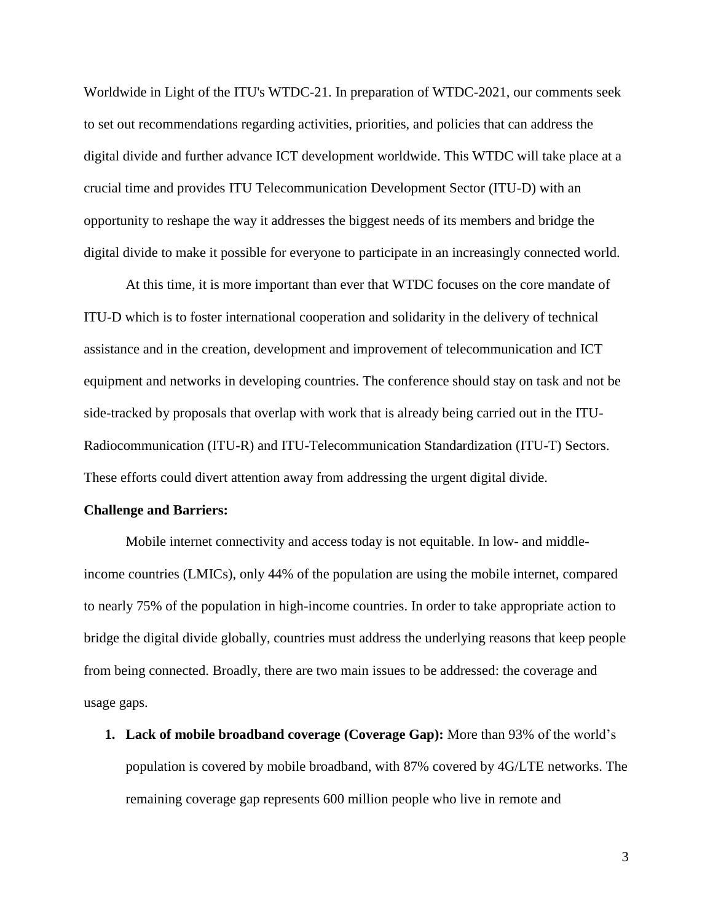Worldwide in Light of the ITU's WTDC-21. In preparation of WTDC-2021, our comments seek to set out recommendations regarding activities, priorities, and policies that can address the digital divide and further advance ICT development worldwide. This WTDC will take place at a crucial time and provides ITU Telecommunication Development Sector (ITU-D) with an opportunity to reshape the way it addresses the biggest needs of its members and bridge the digital divide to make it possible for everyone to participate in an increasingly connected world.

At this time, it is more important than ever that WTDC focuses on the core mandate of ITU-D which is to foster international cooperation and solidarity in the delivery of technical assistance and in the creation, development and improvement of telecommunication and ICT equipment and networks in developing countries. The conference should stay on task and not be side-tracked by proposals that overlap with work that is already being carried out in the ITU-Radiocommunication (ITU-R) and ITU-Telecommunication Standardization (ITU-T) Sectors. These efforts could divert attention away from addressing the urgent digital divide.

#### **Challenge and Barriers:**

Mobile internet connectivity and access today is not equitable. In low- and middleincome countries (LMICs), only 44% of the population are using the mobile internet, compared to nearly 75% of the population in high-income countries. In order to take appropriate action to bridge the digital divide globally, countries must address the underlying reasons that keep people from being connected. Broadly, there are two main issues to be addressed: the coverage and usage gaps.

**1. Lack of mobile broadband coverage (Coverage Gap):** More than 93% of the world's population is covered by mobile broadband, with 87% covered by 4G/LTE networks. The remaining coverage gap represents 600 million people who live in remote and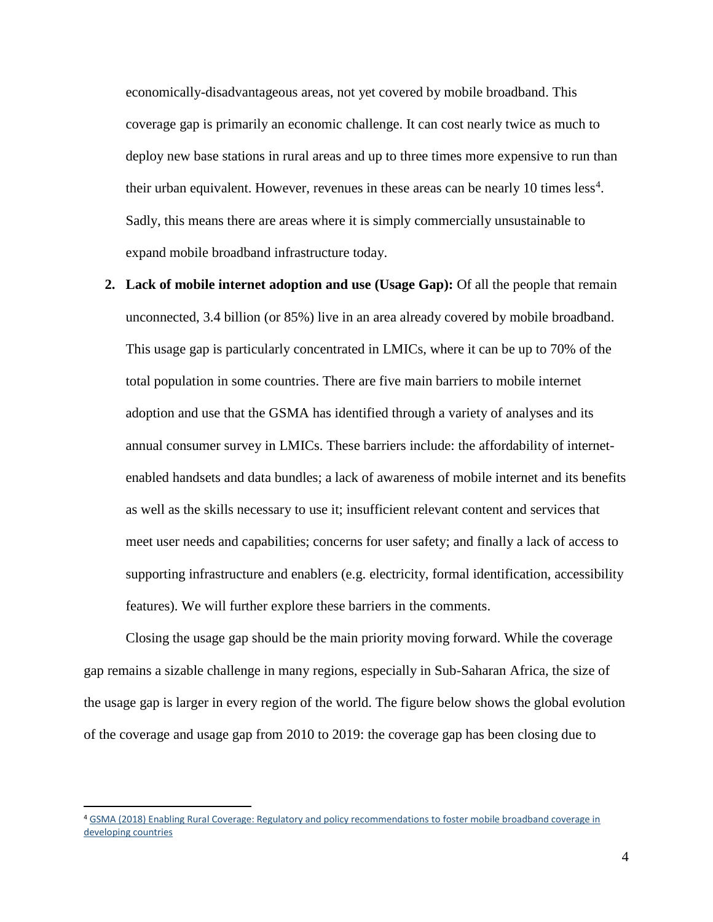economically-disadvantageous areas, not yet covered by mobile broadband. This coverage gap is primarily an economic challenge. It can cost nearly twice as much to deploy new base stations in rural areas and up to three times more expensive to run than their urban equivalent. However, revenues in these areas can be nearly 10 times  $less<sup>4</sup>$ . Sadly, this means there are areas where it is simply commercially unsustainable to expand mobile broadband infrastructure today.

**2. Lack of mobile internet adoption and use (Usage Gap):** Of all the people that remain unconnected, 3.4 billion (or 85%) live in an area already covered by mobile broadband. This usage gap is particularly concentrated in LMICs, where it can be up to 70% of the total population in some countries. There are five main barriers to mobile internet adoption and use that the GSMA has identified through a variety of analyses and its annual consumer survey in LMICs. These barriers include: the affordability of internetenabled handsets and data bundles; a lack of awareness of mobile internet and its benefits as well as the skills necessary to use it; insufficient relevant content and services that meet user needs and capabilities; concerns for user safety; and finally a lack of access to supporting infrastructure and enablers (e.g. electricity, formal identification, accessibility features). We will further explore these barriers in the comments.

Closing the usage gap should be the main priority moving forward. While the coverage gap remains a sizable challenge in many regions, especially in Sub-Saharan Africa, the size of the usage gap is larger in every region of the world. The figure below shows the global evolution of the coverage and usage gap from 2010 to 2019: the coverage gap has been closing due to

 $\overline{a}$ 

<sup>4</sup> [GSMA \(2018\) Enabling Rural Coverage: Regulatory and policy recommendations](https://www.gsma.com/mobilefordevelopment/wp-content/uploads/2018/01/Enabling-Rural-Coverage-14-Dec-final.pdf) to foster mobile broadband coverage in [developing countries](https://www.gsma.com/mobilefordevelopment/wp-content/uploads/2018/01/Enabling-Rural-Coverage-14-Dec-final.pdf)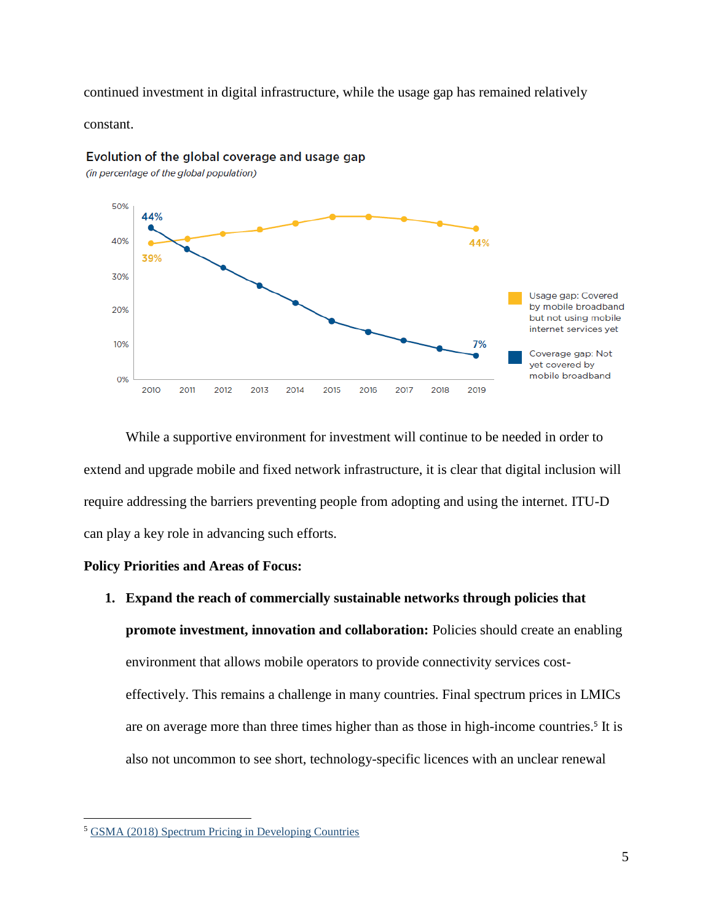continued investment in digital infrastructure, while the usage gap has remained relatively

constant.



Evolution of the global coverage and usage gap

(in percentage of the global population)

While a supportive environment for investment will continue to be needed in order to extend and upgrade mobile and fixed network infrastructure, it is clear that digital inclusion will require addressing the barriers preventing people from adopting and using the internet. ITU-D can play a key role in advancing such efforts.

## **Policy Priorities and Areas of Focus:**

**1. Expand the reach of commercially sustainable networks through policies that promote investment, innovation and collaboration:** Policies should create an enabling environment that allows mobile operators to provide connectivity services costeffectively. This remains a challenge in many countries. Final spectrum prices in LMICs are on average more than three times higher than as those in high-income countries.<sup>5</sup> It is also not uncommon to see short, technology-specific licences with an unclear renewal

 $\overline{\phantom{a}}$ 

<sup>5</sup> [GSMA \(2018\) Spectrum Pricing in Developing Countries](https://www.gsma.com/latinamerica/resources/spectrum-pricing-in-developing-countries/)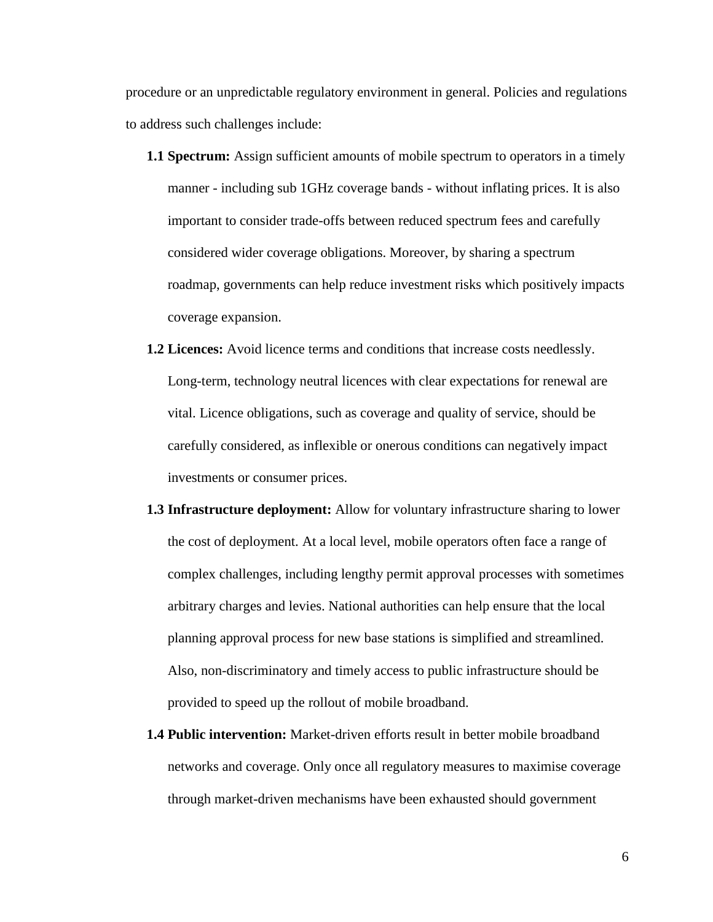procedure or an unpredictable regulatory environment in general. Policies and regulations to address such challenges include:

- **1.1 Spectrum:** Assign sufficient amounts of mobile spectrum to operators in a timely manner - including sub 1GHz coverage bands - without inflating prices. It is also important to consider trade-offs between reduced spectrum fees and carefully considered wider coverage obligations. Moreover, by sharing a spectrum roadmap, governments can help reduce investment risks which positively impacts coverage expansion.
- **1.2 Licences:** Avoid licence terms and conditions that increase costs needlessly. Long-term, technology neutral licences with clear expectations for renewal are vital. Licence obligations, such as coverage and quality of service, should be carefully considered, as inflexible or onerous conditions can negatively impact investments or consumer prices.
- **1.3 Infrastructure deployment:** Allow for voluntary infrastructure sharing to lower the cost of deployment. At a local level, mobile operators often face a range of complex challenges, including lengthy permit approval processes with sometimes arbitrary charges and levies. National authorities can help ensure that the local planning approval process for new base stations is simplified and streamlined. Also, non-discriminatory and timely access to public infrastructure should be provided to speed up the rollout of mobile broadband.
- **1.4 Public intervention:** Market-driven efforts result in better mobile broadband networks and coverage. Only once all regulatory measures to maximise coverage through market-driven mechanisms have been exhausted should government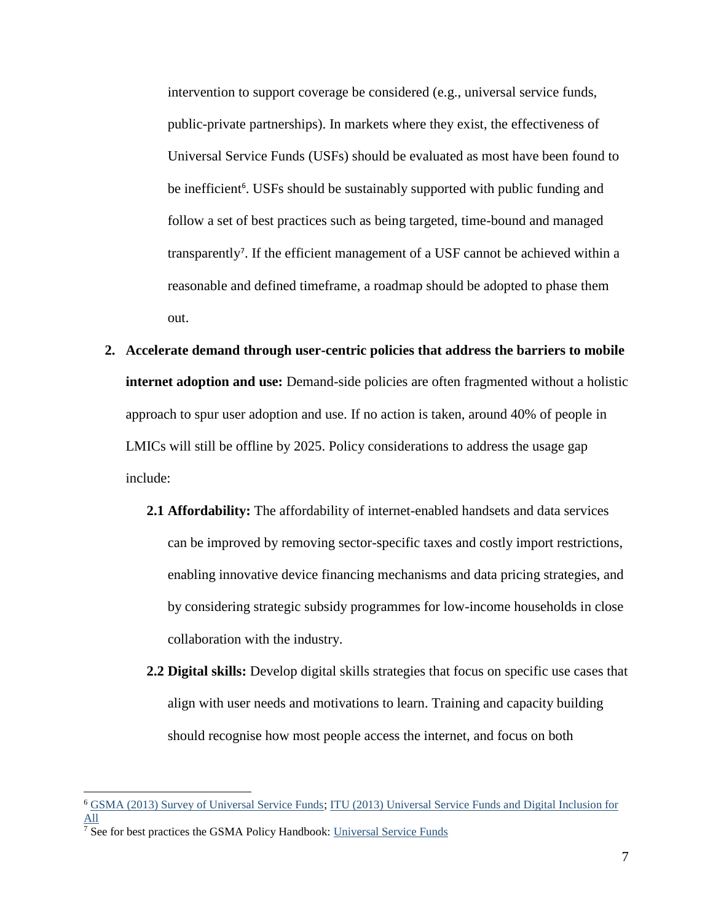intervention to support coverage be considered (e.g., universal service funds, public-private partnerships). In markets where they exist, the effectiveness of Universal Service Funds (USFs) should be evaluated as most have been found to be inefficient<sup>6</sup>. USFs should be sustainably supported with public funding and follow a set of best practices such as being targeted, time-bound and managed transparently<sup>7</sup>. If the efficient management of a USF cannot be achieved within a reasonable and defined timeframe, a roadmap should be adopted to phase them out.

- **2. Accelerate demand through user-centric policies that address the barriers to mobile internet adoption and use:** Demand-side policies are often fragmented without a holistic approach to spur user adoption and use. If no action is taken, around 40% of people in LMICs will still be offline by 2025. Policy considerations to address the usage gap include:
	- **2.1 Affordability:** The affordability of internet-enabled handsets and data services can be improved by removing sector-specific taxes and costly import restrictions, enabling innovative device financing mechanisms and data pricing strategies, and by considering strategic subsidy programmes for low-income households in close collaboration with the industry.
	- **2.2 Digital skills:** Develop digital skills strategies that focus on specific use cases that align with user needs and motivations to learn. Training and capacity building should recognise how most people access the internet, and focus on both

 $\overline{\phantom{a}}$ 

<sup>6</sup> [GSMA \(2013\) Survey of Universal Service Funds;](https://www.gsma.com/publicpolicy/wp-content/uploads/2013/04/GSMA-USF-Key-findings-final.pdf) [ITU \(2013\) Universal Service Funds and Digital Inclusion for](https://www.itu.int/pub/D-PREF-EF.SERV_FUND-2013)  [All](https://www.itu.int/pub/D-PREF-EF.SERV_FUND-2013)

<sup>&</sup>lt;sup>7</sup> See for best practices the GSMA Policy Handbook: [Universal Service Funds](https://www.gsma.com/publicpolicy/mobilepolicyhandbook/business-environment#universal-service-funds)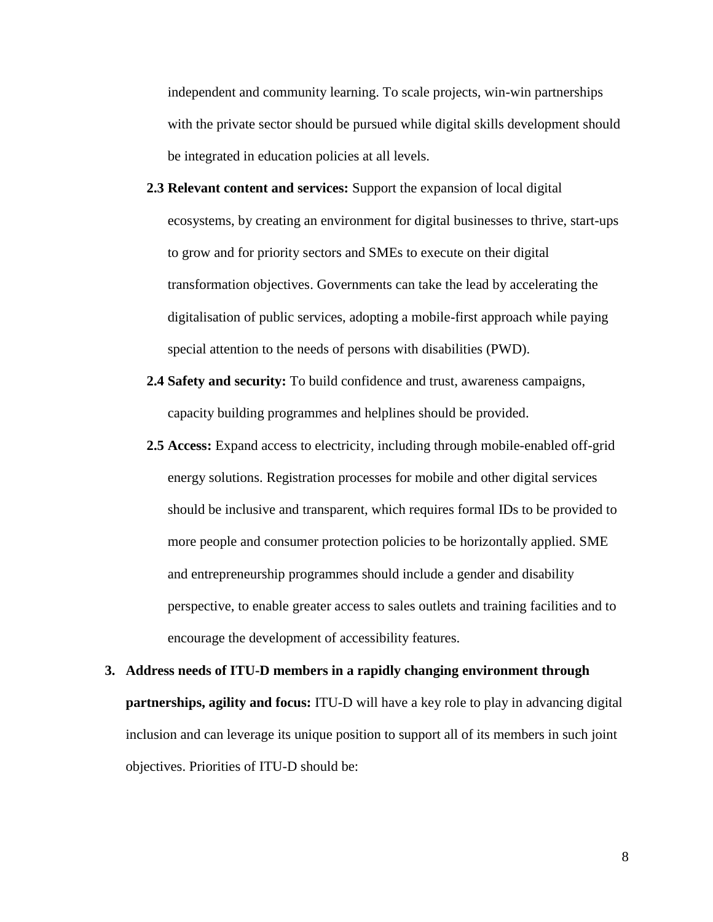independent and community learning. To scale projects, win-win partnerships with the private sector should be pursued while digital skills development should be integrated in education policies at all levels.

- **2.3 Relevant content and services:** Support the expansion of local digital ecosystems, by creating an environment for digital businesses to thrive, start-ups to grow and for priority sectors and SMEs to execute on their digital transformation objectives. Governments can take the lead by accelerating the digitalisation of public services, adopting a mobile-first approach while paying special attention to the needs of persons with disabilities (PWD).
- **2.4 Safety and security:** To build confidence and trust, awareness campaigns, capacity building programmes and helplines should be provided.
- **2.5 Access:** Expand access to electricity, including through mobile-enabled off-grid energy solutions. Registration processes for mobile and other digital services should be inclusive and transparent, which requires formal IDs to be provided to more people and consumer protection policies to be horizontally applied. SME and entrepreneurship programmes should include a gender and disability perspective, to enable greater access to sales outlets and training facilities and to encourage the development of accessibility features.
- **3. Address needs of ITU-D members in a rapidly changing environment through partnerships, agility and focus:** ITU-D will have a key role to play in advancing digital inclusion and can leverage its unique position to support all of its members in such joint objectives. Priorities of ITU-D should be: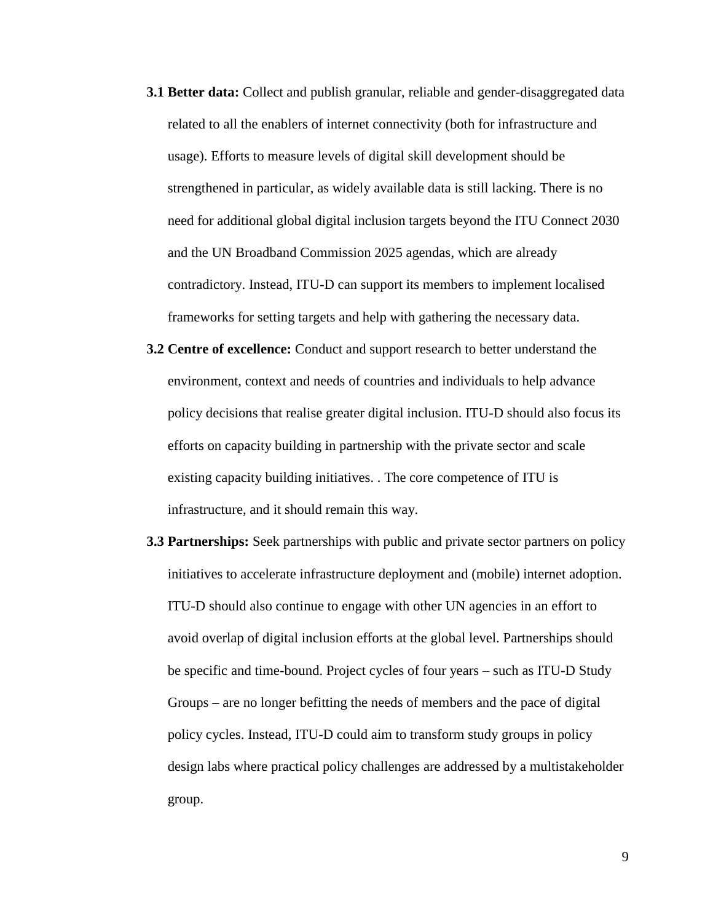- **3.1 Better data:** Collect and publish granular, reliable and gender-disaggregated data related to all the enablers of internet connectivity (both for infrastructure and usage). Efforts to measure levels of digital skill development should be strengthened in particular, as widely available data is still lacking. There is no need for additional global digital inclusion targets beyond the ITU Connect 2030 and the UN Broadband Commission 2025 agendas, which are already contradictory. Instead, ITU-D can support its members to implement localised frameworks for setting targets and help with gathering the necessary data.
- **3.2 Centre of excellence:** Conduct and support research to better understand the environment, context and needs of countries and individuals to help advance policy decisions that realise greater digital inclusion. ITU-D should also focus its efforts on capacity building in partnership with the private sector and scale existing capacity building initiatives. . The core competence of ITU is infrastructure, and it should remain this way.
- **3.3 Partnerships:** Seek partnerships with public and private sector partners on policy initiatives to accelerate infrastructure deployment and (mobile) internet adoption. ITU-D should also continue to engage with other UN agencies in an effort to avoid overlap of digital inclusion efforts at the global level. Partnerships should be specific and time-bound. Project cycles of four years – such as ITU-D Study Groups – are no longer befitting the needs of members and the pace of digital policy cycles. Instead, ITU-D could aim to transform study groups in policy design labs where practical policy challenges are addressed by a multistakeholder group.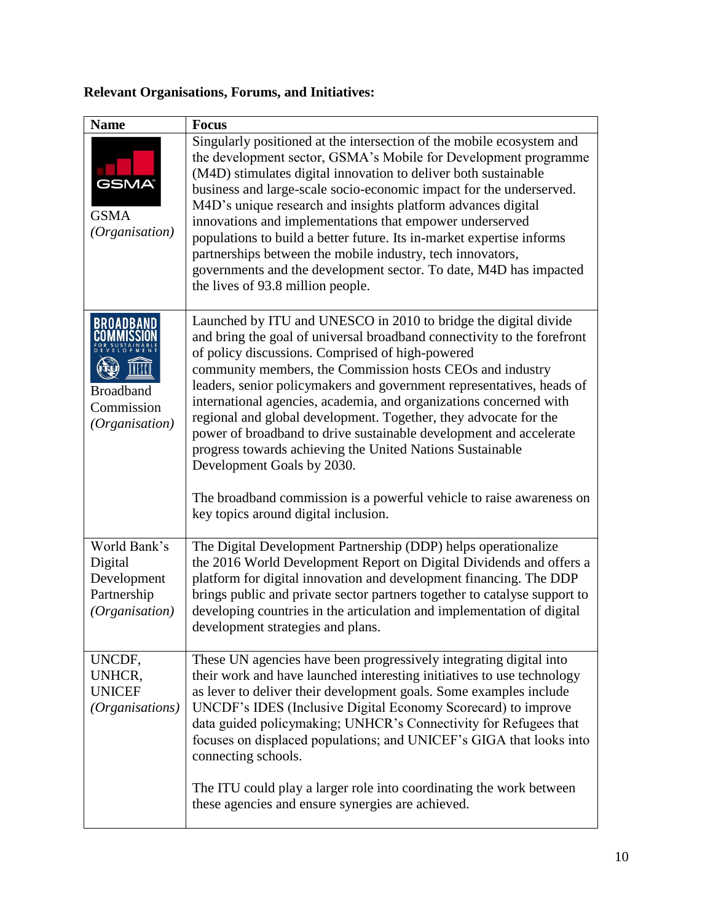# **Relevant Organisations, Forums, and Initiatives:**

| <b>Name</b>                                                             | <b>Focus</b>                                                                                                                                                                                                                                                                                                                                                                                                                                                                                                                                                                                                                                                                                                                                                    |
|-------------------------------------------------------------------------|-----------------------------------------------------------------------------------------------------------------------------------------------------------------------------------------------------------------------------------------------------------------------------------------------------------------------------------------------------------------------------------------------------------------------------------------------------------------------------------------------------------------------------------------------------------------------------------------------------------------------------------------------------------------------------------------------------------------------------------------------------------------|
| <b>GSMA</b><br><b>GSMA</b><br>(Organisation)                            | Singularly positioned at the intersection of the mobile ecosystem and<br>the development sector, GSMA's Mobile for Development programme<br>(M4D) stimulates digital innovation to deliver both sustainable<br>business and large-scale socio-economic impact for the underserved.<br>M4D's unique research and insights platform advances digital<br>innovations and implementations that empower underserved<br>populations to build a better future. Its in-market expertise informs<br>partnerships between the mobile industry, tech innovators,<br>governments and the development sector. To date, M4D has impacted<br>the lives of 93.8 million people.                                                                                                 |
| <b>BROADBAND</b><br><b>Broadband</b><br>Commission<br>(Organisation)    | Launched by ITU and UNESCO in 2010 to bridge the digital divide<br>and bring the goal of universal broadband connectivity to the forefront<br>of policy discussions. Comprised of high-powered<br>community members, the Commission hosts CEOs and industry<br>leaders, senior policymakers and government representatives, heads of<br>international agencies, academia, and organizations concerned with<br>regional and global development. Together, they advocate for the<br>power of broadband to drive sustainable development and accelerate<br>progress towards achieving the United Nations Sustainable<br>Development Goals by 2030.<br>The broadband commission is a powerful vehicle to raise awareness on<br>key topics around digital inclusion. |
| World Bank's<br>Digital<br>Development<br>Partnership<br>(Organisation) | The Digital Development Partnership (DDP) helps operationalize<br>the 2016 World Development Report on Digital Dividends and offers a<br>platform for digital innovation and development financing. The DDP<br>brings public and private sector partners together to catalyse support to<br>developing countries in the articulation and implementation of digital<br>development strategies and plans.                                                                                                                                                                                                                                                                                                                                                         |
| UNCDF,<br>UNHCR,<br><b>UNICEF</b><br>(Organisations)                    | These UN agencies have been progressively integrating digital into<br>their work and have launched interesting initiatives to use technology<br>as lever to deliver their development goals. Some examples include<br>UNCDF's IDES (Inclusive Digital Economy Scorecard) to improve<br>data guided policymaking; UNHCR's Connectivity for Refugees that<br>focuses on displaced populations; and UNICEF's GIGA that looks into<br>connecting schools.<br>The ITU could play a larger role into coordinating the work between                                                                                                                                                                                                                                    |
|                                                                         | these agencies and ensure synergies are achieved.                                                                                                                                                                                                                                                                                                                                                                                                                                                                                                                                                                                                                                                                                                               |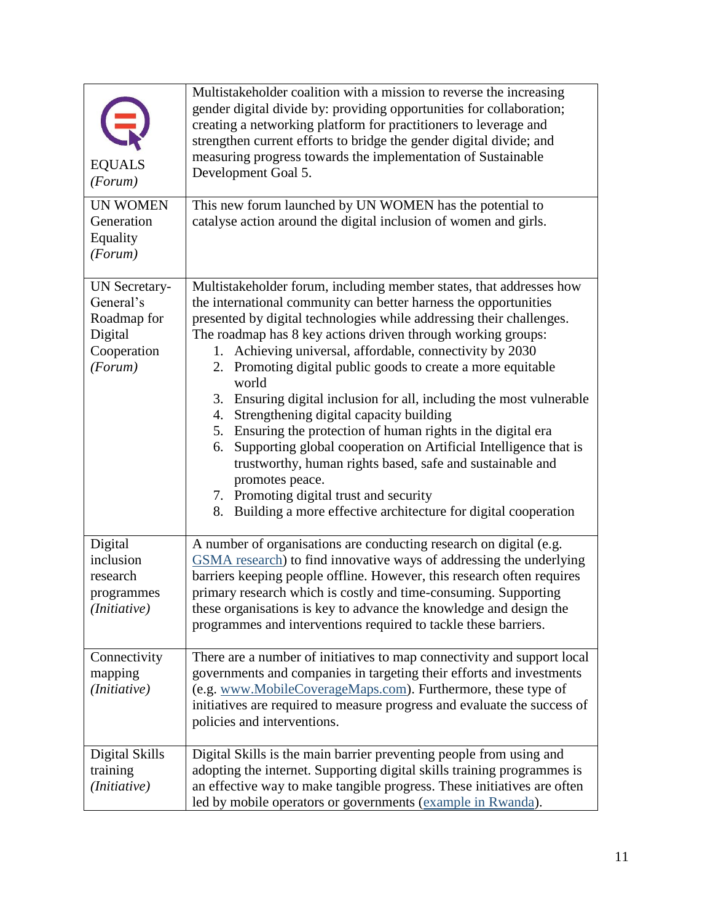| <b>EQUALS</b><br>(Forum)                                                       | Multistakeholder coalition with a mission to reverse the increasing<br>gender digital divide by: providing opportunities for collaboration;<br>creating a networking platform for practitioners to leverage and<br>strengthen current efforts to bridge the gender digital divide; and<br>measuring progress towards the implementation of Sustainable<br>Development Goal 5.                                                                                                                                                                                                                                                                                                                                                                                                                                                                                                               |
|--------------------------------------------------------------------------------|---------------------------------------------------------------------------------------------------------------------------------------------------------------------------------------------------------------------------------------------------------------------------------------------------------------------------------------------------------------------------------------------------------------------------------------------------------------------------------------------------------------------------------------------------------------------------------------------------------------------------------------------------------------------------------------------------------------------------------------------------------------------------------------------------------------------------------------------------------------------------------------------|
| <b>UN WOMEN</b><br>Generation<br>Equality<br>(Forum)                           | This new forum launched by UN WOMEN has the potential to<br>catalyse action around the digital inclusion of women and girls.                                                                                                                                                                                                                                                                                                                                                                                                                                                                                                                                                                                                                                                                                                                                                                |
| UN Secretary-<br>General's<br>Roadmap for<br>Digital<br>Cooperation<br>(Forum) | Multistakeholder forum, including member states, that addresses how<br>the international community can better harness the opportunities<br>presented by digital technologies while addressing their challenges.<br>The roadmap has 8 key actions driven through working groups:<br>Achieving universal, affordable, connectivity by 2030<br>1.<br>2. Promoting digital public goods to create a more equitable<br>world<br>3. Ensuring digital inclusion for all, including the most vulnerable<br>4. Strengthening digital capacity building<br>5. Ensuring the protection of human rights in the digital era<br>Supporting global cooperation on Artificial Intelligence that is<br>6.<br>trustworthy, human rights based, safe and sustainable and<br>promotes peace.<br>7. Promoting digital trust and security<br>Building a more effective architecture for digital cooperation<br>8. |
| Digital<br>inclusion<br>research<br>programmes<br>( <i>Initiative</i> )        | A number of organisations are conducting research on digital (e.g.<br>GSMA research) to find innovative ways of addressing the underlying<br>barriers keeping people offline. However, this research often requires<br>primary research which is costly and time-consuming. Supporting<br>these organisations is key to advance the knowledge and design the<br>programmes and interventions required to tackle these barriers.                                                                                                                                                                                                                                                                                                                                                                                                                                                             |
| Connectivity<br>mapping<br>( <i>Initiative</i> )                               | There are a number of initiatives to map connectivity and support local<br>governments and companies in targeting their efforts and investments<br>(e.g. www.MobileCoverageMaps.com). Furthermore, these type of<br>initiatives are required to measure progress and evaluate the success of<br>policies and interventions.                                                                                                                                                                                                                                                                                                                                                                                                                                                                                                                                                                 |
| Digital Skills<br>training<br>(Initiative)                                     | Digital Skills is the main barrier preventing people from using and<br>adopting the internet. Supporting digital skills training programmes is<br>an effective way to make tangible progress. These initiatives are often<br>led by mobile operators or governments (example in Rwanda).                                                                                                                                                                                                                                                                                                                                                                                                                                                                                                                                                                                                    |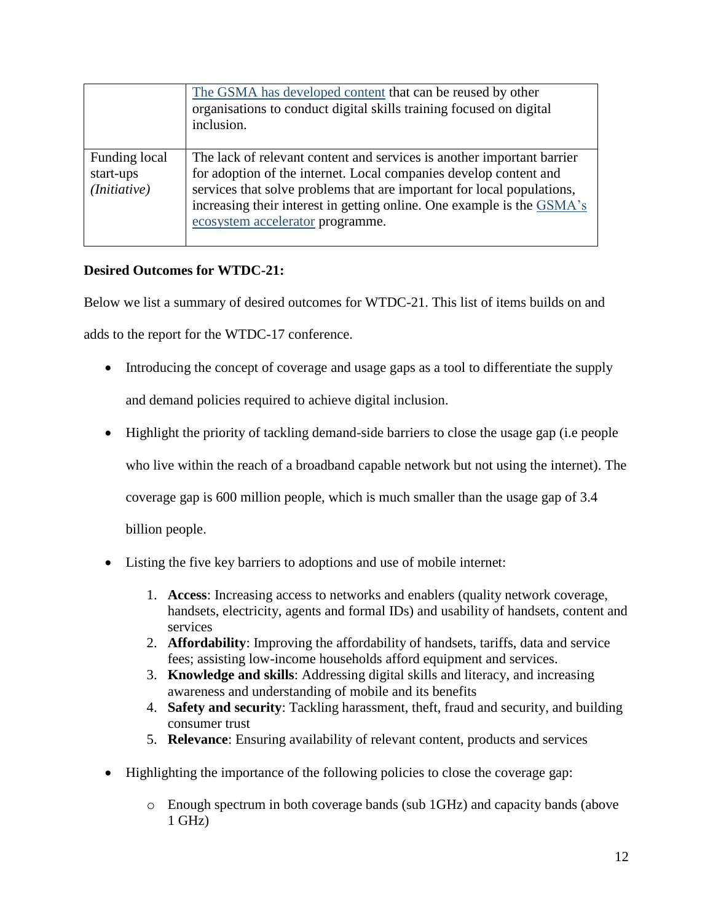|                                                     | The GSMA has developed content that can be reused by other<br>organisations to conduct digital skills training focused on digital<br>inclusion.                                                                                                                                                                                     |
|-----------------------------------------------------|-------------------------------------------------------------------------------------------------------------------------------------------------------------------------------------------------------------------------------------------------------------------------------------------------------------------------------------|
| Funding local<br>start-ups<br>( <i>Initiative</i> ) | The lack of relevant content and services is another important barrier<br>for adoption of the internet. Local companies develop content and<br>services that solve problems that are important for local populations,<br>increasing their interest in getting online. One example is the GSMA's<br>ecosystem accelerator programme. |

# **Desired Outcomes for WTDC-21:**

Below we list a summary of desired outcomes for WTDC-21. This list of items builds on and

adds to the report for the WTDC-17 conference.

- Introducing the concept of coverage and usage gaps as a tool to differentiate the supply and demand policies required to achieve digital inclusion.
- Highlight the priority of tackling demand-side barriers to close the usage gap (i.e people who live within the reach of a broadband capable network but not using the internet). The coverage gap is 600 million people, which is much smaller than the usage gap of 3.4 billion people.
- Listing the five key barriers to adoptions and use of mobile internet:
	- 1. **Access**: Increasing access to networks and enablers (quality network coverage, handsets, electricity, agents and formal IDs) and usability of handsets, content and services
	- 2. **Affordability**: Improving the affordability of handsets, tariffs, data and service fees; assisting low-income households afford equipment and services.
	- 3. **Knowledge and skills**: Addressing digital skills and literacy, and increasing awareness and understanding of mobile and its benefits
	- 4. **Safety and security**: Tackling harassment, theft, fraud and security, and building consumer trust
	- 5. **Relevance**: Ensuring availability of relevant content, products and services
- Highlighting the importance of the following policies to close the coverage gap:
	- o Enough spectrum in both coverage bands (sub 1GHz) and capacity bands (above  $1$  GHz)